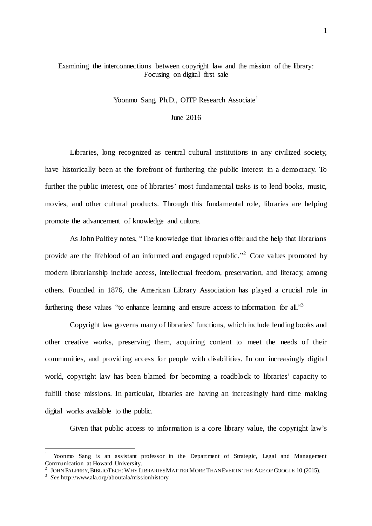## Examining the interconnections between copyright law and the mission of the library: Focusing on digital first sale

Yoonmo Sang, Ph.D., OITP Research Associate<sup>1</sup>

## June 2016

Libraries, long recognized as central cultural institutions in any civilized society, have historically been at the forefront of furthering the public interest in a democracy. To further the public interest, one of libraries' most fundamental tasks is to lend books, music, movies, and other cultural products. Through this fundamental role, libraries are helping promote the advancement of knowledge and culture.

As John Palfrey notes, "The knowledge that libraries offer and the help that librarians provide are the lifeblood of an informed and engaged republic."<sup>2</sup> Core values promoted by modern librarianship include access, intellectual freedom, preservation, and literacy, among others. Founded in 1876, the American Library Association has played a crucial role in furthering these values "to enhance learning and ensure access to information for all. $\mathbf{a}$ "

Copyright law governs many of libraries' functions, which include lending books and other creative works, preserving them, acquiring content to meet the needs of their communities, and providing access for people with disabilities. In our increasingly digital world, copyright law has been blamed for becoming a roadblock to libraries' capacity to fulfill those missions. In particular, libraries are having an increasingly hard time making digital works available to the public.

Given that public access to information is a core library value, the copyright law's

<sup>1</sup> Yoonmo Sang is an assistant professor in the Department of Strategic, Legal and Management Communication at Howard University.

<sup>2</sup> JOHN PALFREY, BIBLIOTECH: WHY LIBRARIES MATTER MORE THAN EVER IN THE AGE OF GOOGLE 10 (2015).

<sup>3</sup> *See* http://www.ala.org/aboutala/missionhistory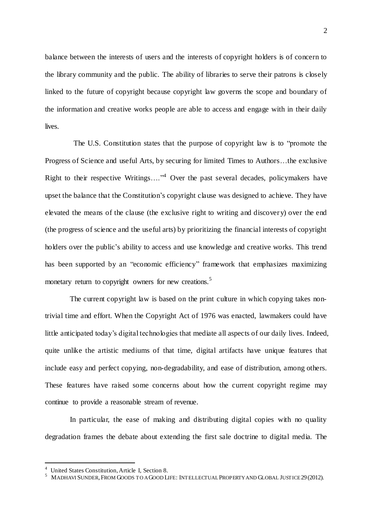balance between the interests of users and the interests of copyright holders is of concern to the library community and the public. The ability of libraries to serve their patrons is closely linked to the future of copyright because copyright law governs the scope and boundary of the information and creative works people are able to access and engage with in their daily lives.

The U.S. Constitution states that the purpose of copyright law is to "promote the Progress of Science and useful Arts, by securing for limited Times to Authors…the exclusive Right to their respective Writings...."<sup>4</sup> Over the past several decades, policymakers have upset the balance that the Constitution's copyright clause was designed to achieve. They have elevated the means of the clause (the exclusive right to writing and discovery) over the end (the progress of science and the useful arts) by prioritizing the financial interests of copyright holders over the public's ability to access and use knowledge and creative works. This trend has been supported by an "economic efficiency" framework that emphasizes maximizing monetary return to copyright owners for new creations.<sup>5</sup>

The current copyright law is based on the print culture in which copying takes nontrivial time and effort. When the Copyright Act of 1976 was enacted, lawmakers could have little anticipated today's digital technologies that mediate all aspects of our daily lives. Indeed, quite unlike the artistic mediums of that time, digital artifacts have unique features that include easy and perfect copying, non-degradability, and ease of distribution, among others. These features have raised some concerns about how the current copyright regime may continue to provide a reasonable stream of revenue.

In particular, the ease of making and distributing digital copies with no quality degradation frames the debate about extending the first sale doctrine to digital media. The

l

<sup>&</sup>lt;sup>4</sup> United States Constitution, Article I, Section 8.

 $^5$  Madhavi Sunder, From Goods to a Good Life: Intellectual Property and Global Justice 29 (2012).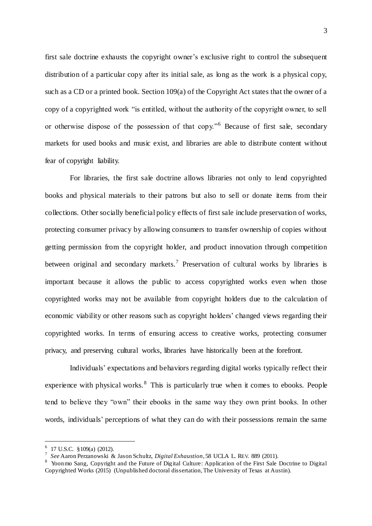first sale doctrine exhausts the copyright owner's exclusive right to control the subsequent distribution of a particular copy after its initial sale, as long as the work is a physical copy, such as a CD or a printed book. Section 109(a) of the Copyright Act states that the owner of a copy of a copyrighted work "is entitled, without the authority of the copyright owner, to sell or otherwise dispose of the possession of that copy."<sup>6</sup> Because of first sale, secondary markets for used books and music exist, and libraries are able to distribute content without fear of copyright liability.

For libraries, the first sale doctrine allows libraries not only to lend copyrighted books and physical materials to their patrons but also to sell or donate items from their collections. Other socially beneficial policy effects of first sale include preservation of works, protecting consumer privacy by allowing consumers to transfer ownership of copies without getting permission from the copyright holder, and product innovation through competition between original and secondary markets.<sup>7</sup> Preservation of cultural works by libraries is important because it allows the public to access copyrighted works even when those copyrighted works may not be available from copyright holders due to the calculation of economic viability or other reasons such as copyright holders' changed views regarding their copyrighted works. In terms of ensuring access to creative works, protecting consumer privacy, and preserving cultural works, libraries have historically been at the forefront.

Individuals' expectations and behaviors regarding digital works typically reflect their experience with physical works.<sup>8</sup> This is particularly true when it comes to ebooks. People tend to believe they "own" their ebooks in the same way they own print books. In other words, individuals' perceptions of what they can do with their possessions remain the same

 $6$  17 U.S.C. §109(a) (2012).

<sup>7</sup> *See* Aaron Perzanowski & Jason Schultz, *Digital Exhaustion*, 58 UCLA L. REV. 889 (2011).

<sup>8</sup> Yoonmo Sang, Copyright and the Future of Digital Culture: Application of the First Sale Doctrine to Digital Copyrighted Works (2015) (Unpublished doctoral dissertation, The University of Texas at Austin).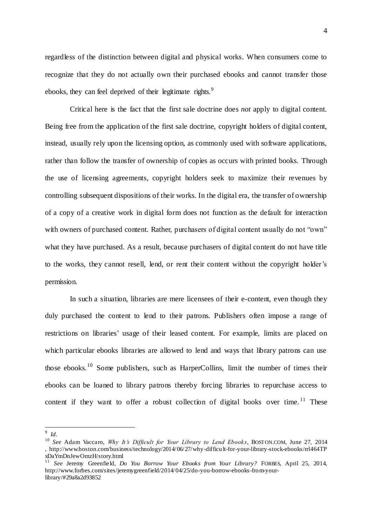regardless of the distinction between digital and physical works. When consumers come to recognize that they do not actually own their purchased ebooks and cannot transfer those ebooks, they can feel deprived of their legitimate rights.<sup>9</sup>

Critical here is the fact that the first sale doctrine does *not* apply to digital content. Being free from the application of the first sale doctrine, copyright holders of digital content, instead, usually rely upon the licensing option, as commonly used with software applications, rather than follow the transfer of ownership of copies as occurs with printed books. Through the use of licensing agreements, copyright holders seek to maximize their revenues by controlling subsequent dispositions of their works. In the digital era, the transfer of ownership of a copy of a creative work in digital form does not function as the default for interaction with owners of purchased content. Rather, purchasers of digital content usually do not "own" what they have purchased. As a result, because purchasers of digital content do not have title to the works, they cannot resell, lend, or rent their content without the copyright holder's permission.

In such a situation, libraries are mere licensees of their e-content, even though they duly purchased the content to lend to their patrons. Publishers often impose a range of restrictions on libraries' usage of their leased content. For example, limits are placed on which particular ebooks libraries are allowed to lend and ways that library patrons can use those ebooks.<sup>10</sup> Some publishers, such as HarperCollins, limit the number of times their ebooks can be loaned to library patrons thereby forcing libraries to repurchase access to content if they want to offer a robust collection of digital books over time.<sup>11</sup> These

9 *Id*.

<sup>10</sup> *See* Adam Vaccaro, *Why It's Difficult for Your Library to Lend Ebooks*, BOSTON.COM, June 27, 2014 , http://www.boston.com/business/technology/2014/06/27/why-difficult-for-your-library-stock-ebooks/rrl464TP xDaYmDnJewOmzH/story.html

<sup>11</sup> *See* Jeremy Greenfield, *Do You Borrow Your Ebooks from Your Library?* FORBES, April 25, 2014, http://www.forbes.com/sites/jeremygreenfield/2014/04/25/do-you-borrow-ebooks-from-yourlibrary/#29a8a2d93852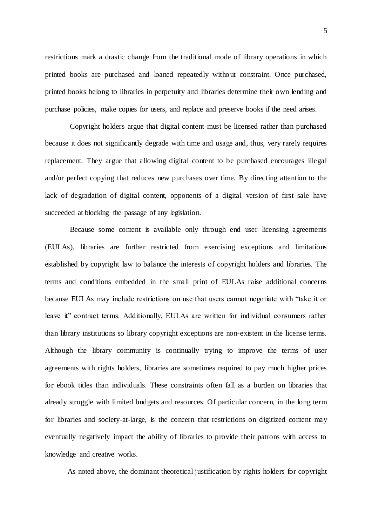restrictions mark a drastic change from the traditional mode of library operations in which printed books are purchased and loaned repeatedly without constraint. Once purchased, printed books belong to libraries in perpetuity and libraries determine their own lending and purchase policies, make copies for users, and replace and preserve books if the need arises.

Copyright holders argue that digital content must be licensed rather than purchased because it does not significantly degrade with time and usage and, thus, very rarely requires replacement. They argue that allowing digital content to be purchased encourages illegal and/or perfect copying that reduces new purchases over time. By directing attention to the lack of degradation of digital content, opponents of a digital version of first sale have succeeded at blocking the passage of any legislation.

Because some content is available only through end user licensing agreements (EULAs), libraries are further restricted from exercising exceptions and limitations established by copyright law to balance the interests of copyright holders and libraries. The terms and conditions embedded in the small print of EULAs raise additional concerns because EULAs may include restrictions on use that users cannot negotiate with "take it or leave it" contract terms. Additionally, EULAs are written for individual consumers rather than library institutions so library copyright exceptions are non-existent in the license terms. Although the library community is continually trying to improve the terms of user agreements with rights holders, libraries are sometimes required to pay much higher prices for ebook titles than individuals. These constraints often fall as a burden on libraries that already struggle with limited budgets and resources. Of particular concern, in the long term for libraries and society-at-large, is the concern that restrictions on digitized content may eventually negatively impact the ability of libraries to provide their patrons with access to knowledge and creative works.

As noted above, the dominant theoretical justification by rights holders for copyright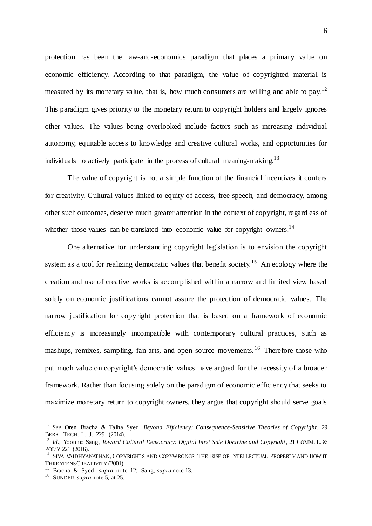protection has been the law-and-economics paradigm that places a primary value on economic efficiency. According to that paradigm, the value of copyrighted material is measured by its monetary value, that is, how much consumers are willing and able to pay.<sup>12</sup> This paradigm gives priority to the monetary return to copyright holders and largely ignores other values. The values being overlooked include factors such as increasing individual autonomy, equitable access to knowledge and creative cultural works, and opportunities for individuals to actively participate in the process of cultural meaning-making.<sup>13</sup>

The value of copyright is not a simple function of the financial incentives it confers for creativity. Cultural values linked to equity of access, free speech, and democracy, among other such outcomes, deserve much greater attention in the context of copyright, regardless of whether those values can be translated into economic value for copyright owners.<sup>14</sup>

One alternative for understanding copyright legislation is to envision the copyright system as a tool for realizing democratic values that benefit society.<sup>15</sup> An ecology where the creation and use of creative works is accomplished within a narrow and limited view based solely on economic justifications cannot assure the protection of democratic values. The narrow justification for copyright protection that is based on a framework of economic efficiency is increasingly incompatible with contemporary cultural practices, such as mashups, remixes, sampling, fan arts, and open source movements.<sup>16</sup> Therefore those who put much value on copyright's democratic values have argued for the necessity of a broader framework. Rather than focusing solely on the paradigm of economic efficiency that seeks to maximize monetary return to copyright owners, they argue that copyright should serve goals

<sup>12</sup> *See* Oren Bracha & Talha Syed, *Beyond Efficiency: Consequence-Sensitive Theories of Copyright*, 29 BERK. TECH. L. J. 229 (2014).

<sup>13</sup> *Id*.; Yoonmo Sang, *Toward Cultural Democracy: Digital First Sale Doctrine and Copyright*, 21 COMM. L. & POL'Y 221 (2016).

 $^{14}\,$  SIVA VAIDHYANATHAN, COPYRIGHTS AND COPYWRONGS: THE RISE OF INTELLECTUAL PROPERTY AND HOW IT THREATENS CREATIVITY (2001).

<sup>15</sup> Bracha & Syed, *supra* note 12; Sang, *supra* note 13.

<sup>16</sup> SUNDER, *supra* note 5, at 25.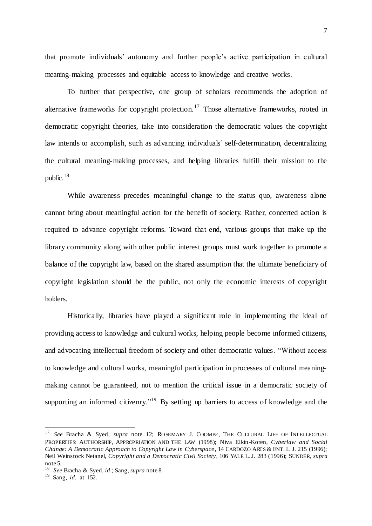that promote individuals' autonomy and further people's active participation in cultural meaning-making processes and equitable access to knowledge and creative works.

To further that perspective, one group of scholars recommends the adoption of alternative frameworks for copyright protection.<sup>17</sup> Those alternative frameworks, rooted in democratic copyright theories, take into consideration the democratic values the copyright law intends to accomplish, such as advancing individuals' self-determination, decentralizing the cultural meaning-making processes, and helping libraries fulfill their mission to the public. 18

While awareness precedes meaningful change to the status quo, awareness alone cannot bring about meaningful action for the benefit of society. Rather, concerted action is required to advance copyright reforms. Toward that end, various groups that make up the library community along with other public interest groups must work together to promote a balance of the copyright law, based on the shared assumption that the ultimate beneficiary of copyright legislation should be the public, not only the economic interests of copyright holders.

Historically, libraries have played a significant role in implementing the ideal of providing access to knowledge and cultural works, helping people become informed citizens, and advocating intellectual freedom of society and other democratic values. "Without access to knowledge and cultural works, meaningful participation in processes of cultural meaningmaking cannot be guaranteed, not to mention the critical issue in a democratic society of supporting an informed citizenry."<sup>19</sup> By setting up barriers to access of knowledge and the

<sup>17</sup> *See* Bracha & Syed, *supra* note 12; ROSEMARY J. COOMBE, THE CULTURAL LIFE OF INTELLECTUAL PROPERTIES: AUTHORSHIP, APPROPRIATION AND THE LAW (1998); Niva Elkin -Koren, *Cyberlaw and Social Change: A Democratic Approach to Copyright Law in Cyberspace*, 14 CARDOZO ARTS & ENT. L. J. 215 (1996); Neil Weinstock Netanel, *Copyright and a Democratic Civil Society*, 106 YALE L. J. 283 (1996); SUNDER, *supra* note 5.

<sup>18</sup> *See* Bracha & Syed, *id*.; Sang, *supra* note 8.

<sup>19</sup> Sang, *id.* at 152.